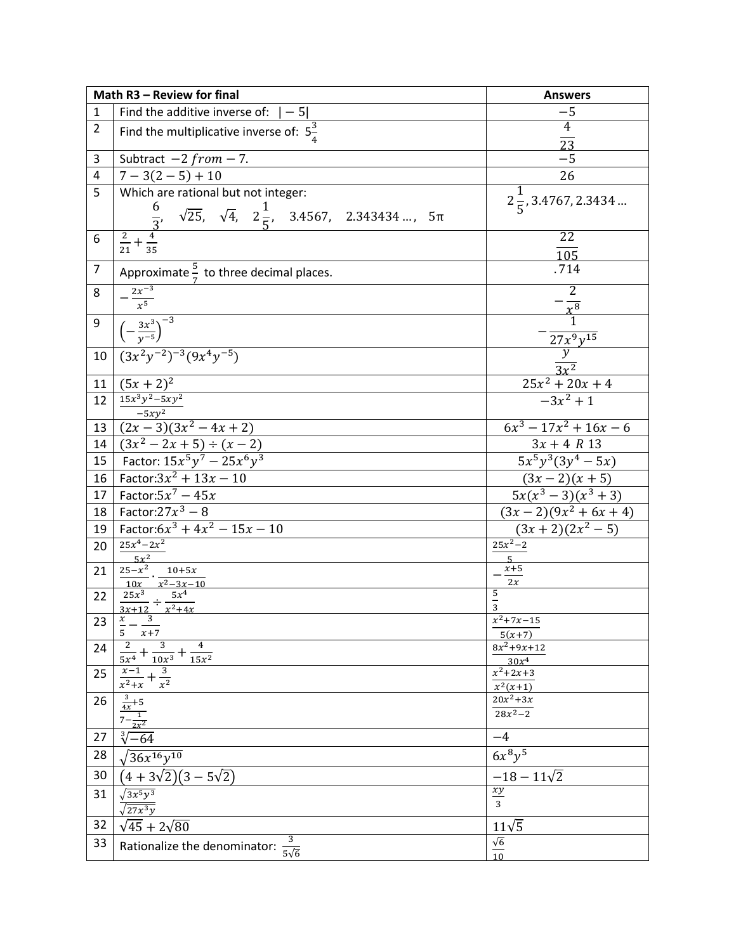|                | Math R3 - Review for final                                                                                                                     | <b>Answers</b>                           |
|----------------|------------------------------------------------------------------------------------------------------------------------------------------------|------------------------------------------|
| 1              | Find the additive inverse of: $ -5 $                                                                                                           | $-5$                                     |
| $\overline{2}$ | Find the multiplicative inverse of: $5\frac{3}{4}$                                                                                             | $\overline{4}$<br>$\overline{23}$        |
| 3              | Subtract $-2 from -7$ .                                                                                                                        | $-5$                                     |
| 4              | $7-3(2-5)+10$                                                                                                                                  | 26                                       |
| 5              | Which are rational but not integer:<br>$rac{6}{\frac{2}{21} + \frac{4}{35}}$ $\sqrt{25}$ , $\sqrt{4}$ , $2\frac{1}{5}$ , 3.4567, 2.343434 , 5π | $2\frac{1}{5}$ , 3.4767, 2.3434          |
| 6              |                                                                                                                                                | 22<br>$\frac{105}{.714}$                 |
| $\overline{7}$ | Approximate $\frac{5}{7}$ to three decimal places.                                                                                             |                                          |
| 8              | $-\frac{2x^{-3}}{x^5}$                                                                                                                         | $\frac{2}{x^8}$                          |
| 9              | $\frac{3x^3}{\left(-\frac{3x^3}{v^{-5}}\right)^{-3}}$                                                                                          |                                          |
| 10             | $\sqrt{(3x^2y^{-2})^{-3}(9x^4y^{-5})}$                                                                                                         | $\frac{27x^9y^{15}}{y}}{\frac{y}{3x^2}}$ |
| 11             | $(5x + 2)^2$                                                                                                                                   | $25x^2 + 20x + 4$                        |
| 12             | $15x^3y^2 - 5xy^2$                                                                                                                             | $-3x^2+1$                                |
| 13             | $\frac{-5xy^2}{(2x-3)(3x^2-4x+2)}$                                                                                                             | $6x^3 - 17x^2 + 16x - 6$                 |
| 14             |                                                                                                                                                | $3x + 4 R 13$                            |
| 15             | $\frac{(3x^2 - 2x + 5) \div (x - 2)}{\text{Factor: } 15x^5y^7 - 25x^6y^3}$                                                                     | $5x^5y^3(3y^4-5x)$                       |
| 16             | Factor: $3x^2 + 13x - 10$                                                                                                                      | $(3x-2)(x+5)$                            |
| 17             | Factor: $5x^7 - 45x$                                                                                                                           | $\frac{5x(x^3-3)(x^3+3)}{x^3+3}$         |
| 18             | Factor: $27x^3 - 8$                                                                                                                            | $(3x-2)(9x^2+6x+4)$                      |
| 19             | Factor: $6x^3 + 4x^2 - 15x - 10$                                                                                                               | $(3x+2)(2x^2-5)$                         |
| 20             | $25x^4 - 2x^2$                                                                                                                                 | $25x^2 - 2$                              |
| 21             | $5x^2$<br>$25 - x^2$<br>$10 + 5x$                                                                                                              | $\overline{5}$<br>$x+5$                  |
|                | $10x$ $x^2-3x-10$                                                                                                                              | 2x                                       |
| 22             | $25x^3$ $5x^4$                                                                                                                                 | $\overline{a}$<br>$\overline{3}$         |
| 23             | $\frac{3x+12}{x-3}$                                                                                                                            | $x^2 + 7x - 15$                          |
|                | 5<br>$x + 7$                                                                                                                                   | $5(x+7)$                                 |
| 24             | 2<br>3<br>4<br>$\overline{15x^2}$<br>$10x^3$<br>$5x^4$                                                                                         | $8x^2 + 9x + 12$<br>30x <sup>4</sup>     |
| 25             | 3<br>$x-1$<br>$\overline{x^2}$<br>$\overline{x^2+x}$                                                                                           | $x^2 + 2x + 3$<br>$x^2(x+1)$             |
| 26             | $\frac{3}{4x}+5$                                                                                                                               | $20x^2+3x$                               |
|                | $\overline{1}$<br>$2x^2$                                                                                                                       | $28x^2 - 2$                              |
| 27             | $\sqrt[3]{-64}$                                                                                                                                | $-4$                                     |
| 28             | $36x^{16}y^{10}$                                                                                                                               | $6x^{8}y^{5}$                            |
| 30             | $(4+3\sqrt{2})(3-5\sqrt{2})$                                                                                                                   | $-18 - 11\sqrt{2}$                       |
| 31             | $\sqrt{3x^5y^3}$<br>$\sqrt{27x^3y}$                                                                                                            | $\frac{xy}{3}$                           |
| 32             | $\sqrt{45} + 2\sqrt{80}$                                                                                                                       | $11\sqrt{5}$                             |
| 33             | 3<br>Rationalize the denominator:<br>$5\sqrt{6}$                                                                                               | $\sqrt{6}$                               |
|                |                                                                                                                                                | 10                                       |